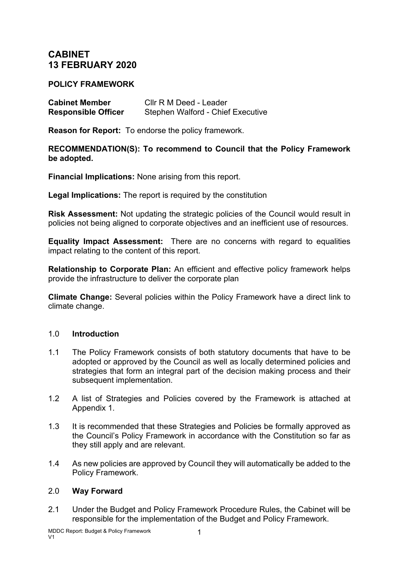# **CABINET 13 FEBRUARY 2020**

### **POLICY FRAMEWORK**

| <b>Cabinet Member</b>      | Cllr R M Deed - Leader            |
|----------------------------|-----------------------------------|
| <b>Responsible Officer</b> | Stephen Walford - Chief Executive |

**Reason for Report:** To endorse the policy framework.

**RECOMMENDATION(S): To recommend to Council that the Policy Framework be adopted.**

**Financial Implications:** None arising from this report.

**Legal Implications:** The report is required by the constitution

**Risk Assessment:** Not updating the strategic policies of the Council would result in policies not being aligned to corporate objectives and an inefficient use of resources.

**Equality Impact Assessment:** There are no concerns with regard to equalities impact relating to the content of this report.

**Relationship to Corporate Plan:** An efficient and effective policy framework helps provide the infrastructure to deliver the corporate plan

**Climate Change:** Several policies within the Policy Framework have a direct link to climate change.

## 1.0 **Introduction**

- 1.1 The Policy Framework consists of both statutory documents that have to be adopted or approved by the Council as well as locally determined policies and strategies that form an integral part of the decision making process and their subsequent implementation.
- 1.2 A list of Strategies and Policies covered by the Framework is attached at Appendix 1.
- 1.3 It is recommended that these Strategies and Policies be formally approved as the Council's Policy Framework in accordance with the Constitution so far as they still apply and are relevant.
- 1.4 As new policies are approved by Council they will automatically be added to the Policy Framework.

#### 2.0 **Way Forward**

2.1 Under the Budget and Policy Framework Procedure Rules, the Cabinet will be responsible for the implementation of the Budget and Policy Framework.